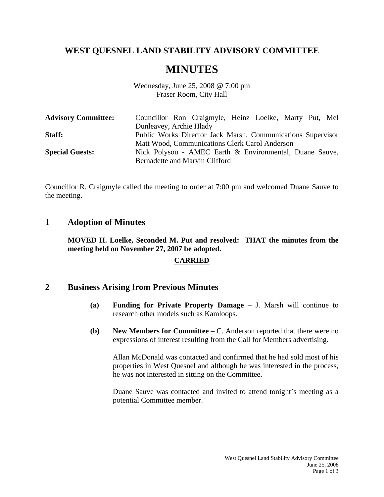# **WEST QUESNEL LAND STABILITY ADVISORY COMMITTEE**

# **MINUTES**

Wednesday, June 25, 2008 @ 7:00 pm Fraser Room, City Hall

| <b>Advisory Committee:</b> | Councillor Ron Craigmyle, Heinz Loelke, Marty Put, Mel      |
|----------------------------|-------------------------------------------------------------|
|                            | Dunleavey, Archie Hlady                                     |
| Staff:                     | Public Works Director Jack Marsh, Communications Supervisor |
|                            | Matt Wood, Communications Clerk Carol Anderson              |
| <b>Special Guests:</b>     | Nick Polysou - AMEC Earth & Environmental, Duane Sauve,     |
|                            | Bernadette and Marvin Clifford                              |

Councillor R. Craigmyle called the meeting to order at 7:00 pm and welcomed Duane Sauve to the meeting.

### **1 Adoption of Minutes**

**MOVED H. Loelke, Seconded M. Put and resolved: THAT the minutes from the meeting held on November 27, 2007 be adopted.** 

#### **CARRIED**

### **2 Business Arising from Previous Minutes**

- **(a) Funding for Private Property Damage** J. Marsh will continue to research other models such as Kamloops.
- **(b) New Members for Committee** C. Anderson reported that there were no expressions of interest resulting from the Call for Members advertising.

 Allan McDonald was contacted and confirmed that he had sold most of his properties in West Quesnel and although he was interested in the process, he was not interested in sitting on the Committee.

 Duane Sauve was contacted and invited to attend tonight's meeting as a potential Committee member.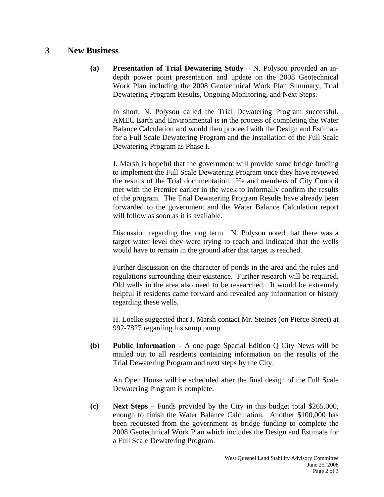## **3 New Business**

**(a) Presentation of Trial Dewatering Study** – N. Polysou provided an indepth power point presentation and update on the 2008 Geotechnical Work Plan including the 2008 Geotechnical Work Plan Summary, Trial Dewatering Program Results, Ongoing Monitoring, and Next Steps.

 In short, N. Polysou called the Trial Dewatering Program successful. AMEC Earth and Environmental is in the process of completing the Water Balance Calculation and would then proceed with the Design and Estimate for a Full Scale Dewatering Program and the Installation of the Full Scale Dewatering Program as Phase I.

 J. Marsh is hopeful that the government will provide some bridge funding to implement the Full Scale Dewatering Program once they have reviewed the results of the Trial documentation. He and members of City Council met with the Premier earlier in the week to informally confirm the results of the program. The Trial Dewatering Program Results have already been forwarded to the government and the Water Balance Calculation report will follow as soon as it is available.

 Discussion regarding the long term. N. Polysou noted that there was a target water level they were trying to reach and indicated that the wells would have to remain in the ground after that target is reached.

 Further discussion on the character of ponds in the area and the rules and regulations surrounding their existence. Further research will be required. Old wells in the area also need to be researched. It would be extremely helpful if residents came forward and revealed any information or history regarding these wells.

 H. Loelke suggested that J. Marsh contact Mr. Steines (on Pierce Street) at 992-7827 regarding his sump pump.

**(b) Public Information** – A one page Special Edition Q City News will be mailed out to all residents containing information on the results of the Trial Dewatering Program and next steps by the City.

 An Open House will be scheduled after the final design of the Full Scale Dewatering Program is complete.

**(c) Next Steps** – Funds provided by the City in this budget total \$265,000, enough to finish the Water Balance Calculation. Another \$100,000 has been requested from the government as bridge funding to complete the 2008 Geotechnical Work Plan which includes the Design and Estimate for a Full Scale Dewatering Program.